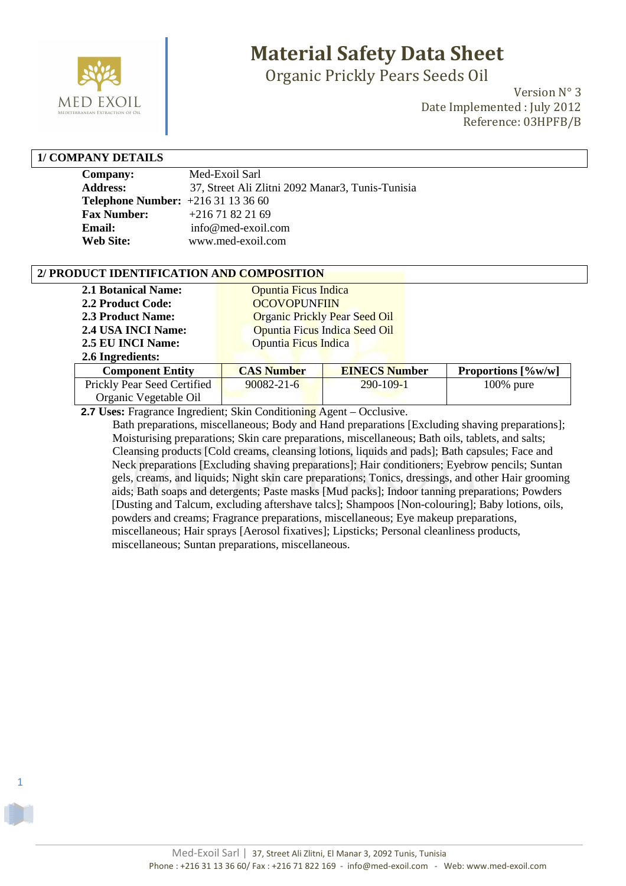

## **Material Safety Data Sheet**

Organic Prickly Pears Seeds Oil

Version N° 3 Date Implemented : July 2012 Reference: 03HPFB/B

#### **1/ COMPANY DETAILS**

1

| Company:                                | Med-Exoil Sarl                                   |
|-----------------------------------------|--------------------------------------------------|
| <b>Address:</b>                         | 37, Street Ali Zlitni 2092 Manar3, Tunis-Tunisia |
| <b>Telephone Number:</b> $+21631133660$ |                                                  |
| <b>Fax Number:</b>                      | $+21671822169$                                   |
| Email:                                  | info@med-exoil.com                               |
| <b>Web Site:</b>                        | www.med-exoil.com                                |

#### **2/ PRODUCT IDENTIFICATION AND COMPOSITION**

| <b>2.1 Botanical Name:</b> | Opuntia Ficus Indica                 |
|----------------------------|--------------------------------------|
| 2.2 Product Code:          | <b>OCOVOPUNFIIN</b>                  |
| <b>2.3 Product Name:</b>   | <b>Organic Prickly Pear Seed Oil</b> |
| 2.4 USA INCI Name:         | Opuntia Ficus Indica Seed Oil        |
| 2.5 EU INCI Name:          | Opuntia Ficus Indica                 |
| 2.71111                    |                                      |

| 2.6 Ingredients:            |                   |                      |                                         |
|-----------------------------|-------------------|----------------------|-----------------------------------------|
| <b>Component Entity</b>     | <b>CAS Number</b> | <b>EINECS Number</b> | Proportions $\left[\frac{9}{w} \right]$ |
| Prickly Pear Seed Certified | $90082 - 21 - 6$  | $290 - 109 - 1$      | $100\%$ pure                            |
| Organic Vegetable Oil       |                   |                      |                                         |

 **2.7 Uses:** Fragrance Ingredient; Skin Conditioning Agent – Occlusive.

 Bath preparations, miscellaneous; Body and Hand preparations [Excluding shaving preparations]; Moisturising preparations; Skin care preparations, miscellaneous; Bath oils, tablets, and salts; Cleansing products [Cold creams, cleansing lotions, liquids and pads]; Bath capsules; Face and Neck preparations [Excluding shaving preparations]; Hair conditioners; Eyebrow pencils; Suntan gels, creams, and liquids; Night skin care preparations; Tonics, dressings, and other Hair grooming aids; Bath soaps and detergents; Paste masks [Mud packs]; Indoor tanning preparations; Powders [Dusting and Talcum, excluding aftershave talcs]; Shampoos [Non-colouring]; Baby lotions, oils, powders and creams; Fragrance preparations, miscellaneous; Eye makeup preparations, miscellaneous; Hair sprays [Aerosol fixatives]; Lipsticks; Personal cleanliness products, miscellaneous; Suntan preparations, miscellaneous.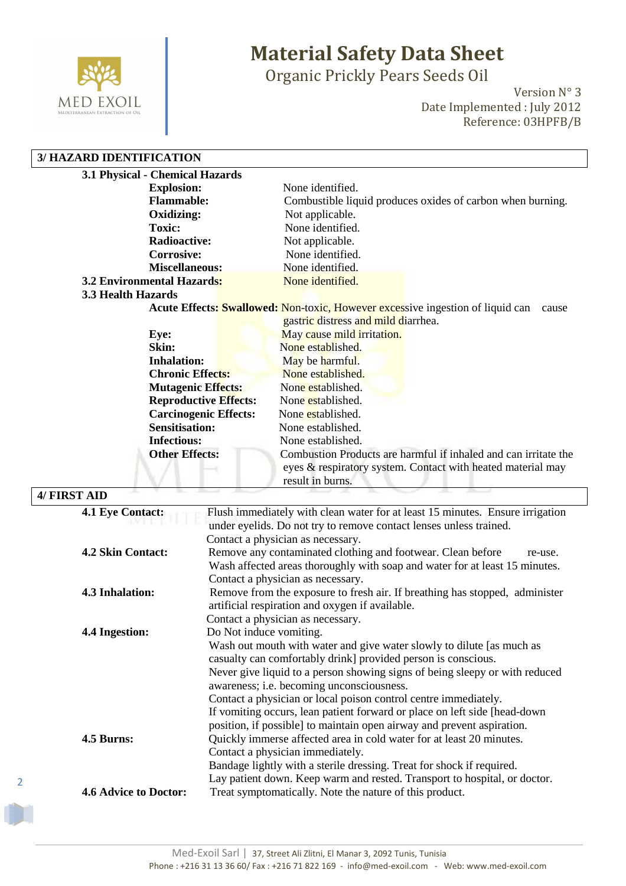

2

# **Material Safety Data Sheet**

Organic Prickly Pears Seeds Oil

Version N° 3 Date Implemented : July 2012 Reference: 03HPFB/B

#### **3/ HAZARD IDENTIFICATION**

| 3.1 Physical - Chemical Hazards   |                                                                                                |
|-----------------------------------|------------------------------------------------------------------------------------------------|
| <b>Explosion:</b>                 | None identified.                                                                               |
| <b>Flammable:</b>                 | Combustible liquid produces oxides of carbon when burning.                                     |
| Oxidizing:                        | Not applicable.                                                                                |
| <b>Toxic:</b>                     | None identified.                                                                               |
| Radioactive:                      | Not applicable.                                                                                |
| <b>Corrosive:</b>                 | None identified.                                                                               |
| <b>Miscellaneous:</b>             | None identified.                                                                               |
| <b>3.2 Environmental Hazards:</b> | None identified.                                                                               |
| 3.3 Health Hazards                |                                                                                                |
|                                   | <b>Acute Effects: Swallowed: Non-toxic, However excessive ingestion of liquid can</b><br>cause |
|                                   | gastric distress and mild diarrhea.                                                            |
| Eye:                              | May cause mild irritation.                                                                     |
| Skin:                             | None established.                                                                              |
| <b>Inhalation:</b>                | May be harmful.                                                                                |
| <b>Chronic Effects:</b>           | None established.                                                                              |
| <b>Mutagenic Effects:</b>         | None established.                                                                              |
| <b>Reproductive Effects:</b>      | None established.                                                                              |
| <b>Carcinogenic Effects:</b>      | None established.                                                                              |
| <b>Sensitisation:</b>             | None established.                                                                              |
| <b>Infectious:</b>                | None established.                                                                              |
| <b>Other Effects:</b>             | Combustion Products are harmful if inhaled and can irritate the                                |
|                                   | eyes & respiratory system. Contact with heated material may                                    |
|                                   | result in burns.                                                                               |

| 4/ FIRST AID                 |                                                                                                                                                                                                                                                                                                                                                                                                                                                                                                                          |
|------------------------------|--------------------------------------------------------------------------------------------------------------------------------------------------------------------------------------------------------------------------------------------------------------------------------------------------------------------------------------------------------------------------------------------------------------------------------------------------------------------------------------------------------------------------|
| <b>4.1 Eye Contact:</b>      | Flush immediately with clean water for at least 15 minutes. Ensure irrigation<br>under eyelids. Do not try to remove contact lenses unless trained.<br>Contact a physician as necessary.                                                                                                                                                                                                                                                                                                                                 |
| <b>4.2 Skin Contact:</b>     | Remove any contaminated clothing and footwear. Clean before<br>re-use.<br>Wash affected areas thoroughly with soap and water for at least 15 minutes.<br>Contact a physician as necessary.                                                                                                                                                                                                                                                                                                                               |
| <b>4.3 Inhalation:</b>       | Remove from the exposure to fresh air. If breathing has stopped, administer<br>artificial respiration and oxygen if available.<br>Contact a physician as necessary.                                                                                                                                                                                                                                                                                                                                                      |
| 4.4 Ingestion:               | Do Not induce vomiting.<br>Wash out mouth with water and give water slowly to dilute [as much as<br>casualty can comfortably drink] provided person is conscious.<br>Never give liquid to a person showing signs of being sleepy or with reduced<br>awareness; i.e. becoming unconsciousness.<br>Contact a physician or local poison control centre immediately.<br>If vomiting occurs, lean patient forward or place on left side [head-down]<br>position, if possible] to maintain open airway and prevent aspiration. |
| 4.5 Burns:                   | Quickly immerse affected area in cold water for at least 20 minutes.<br>Contact a physician immediately.<br>Bandage lightly with a sterile dressing. Treat for shock if required.<br>Lay patient down. Keep warm and rested. Transport to hospital, or doctor.                                                                                                                                                                                                                                                           |
| <b>4.6 Advice to Doctor:</b> | Treat symptomatically. Note the nature of this product.                                                                                                                                                                                                                                                                                                                                                                                                                                                                  |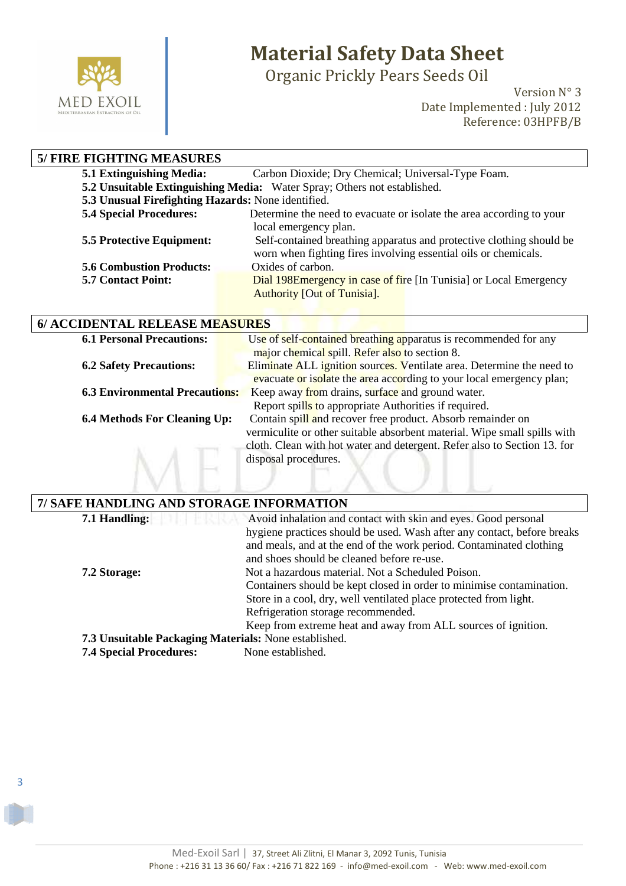

3

# **Material Safety Data Sheet**

Organic Prickly Pears Seeds Oil

Version N° 3 Date Implemented : July 2012 Reference: 03HPFB/B

| <b>5/ FIRE FIGHTING MEASURES</b>                   |                                                                          |
|----------------------------------------------------|--------------------------------------------------------------------------|
| 5.1 Extinguishing Media:                           | Carbon Dioxide; Dry Chemical; Universal-Type Foam.                       |
|                                                    | 5.2 Unsuitable Extinguishing Media: Water Spray; Others not established. |
| 5.3 Unusual Firefighting Hazards: None identified. |                                                                          |
| <b>5.4 Special Procedures:</b>                     | Determine the need to evacuate or isolate the area according to your     |
|                                                    | local emergency plan.                                                    |
| <b>5.5 Protective Equipment:</b>                   | Self-contained breathing apparatus and protective clothing should be     |
|                                                    | worn when fighting fires involving essential oils or chemicals.          |
| <b>5.6 Combustion Products:</b>                    | Oxides of carbon.                                                        |
| <b>5.7 Contact Point:</b>                          | Dial 198E mergency in case of fire [In Tunisia] or Local Emergency       |
|                                                    | <b>Authority [Out of Tunisia].</b>                                       |

|  | 6/ ACCIDENTAL RELEASE MEASURES |
|--|--------------------------------|
|--|--------------------------------|

| Eliminate ALL ignition sources. Ventilate area. Determine the need to    |
|--------------------------------------------------------------------------|
| evacuate or isolate the area according to your local emergency plan;     |
|                                                                          |
|                                                                          |
|                                                                          |
| vermiculite or other suitable absorbent material. Wipe small spills with |
| cloth. Clean with hot water and detergent. Refer also to Section 13. for |
|                                                                          |
|                                                                          |
|                                                                          |
|                                                                          |

| 7/ SAFE HANDLING AND STORAGE INFORMATION              |                                                                         |  |
|-------------------------------------------------------|-------------------------------------------------------------------------|--|
| 7.1 Handling:                                         | Avoid inhalation and contact with skin and eyes. Good personal          |  |
|                                                       | hygiene practices should be used. Wash after any contact, before breaks |  |
|                                                       | and meals, and at the end of the work period. Contaminated clothing     |  |
|                                                       | and shoes should be cleaned before re-use.                              |  |
| 7.2 Storage:                                          | Not a hazardous material. Not a Scheduled Poison.                       |  |
|                                                       | Containers should be kept closed in order to minimise contamination.    |  |
|                                                       | Store in a cool, dry, well ventilated place protected from light.       |  |
|                                                       | Refrigeration storage recommended.                                      |  |
|                                                       | Keep from extreme heat and away from ALL sources of ignition.           |  |
| 7.3 Unsuitable Packaging Materials: None established. |                                                                         |  |
| <b>7.4 Special Procedures:</b>                        | None established.                                                       |  |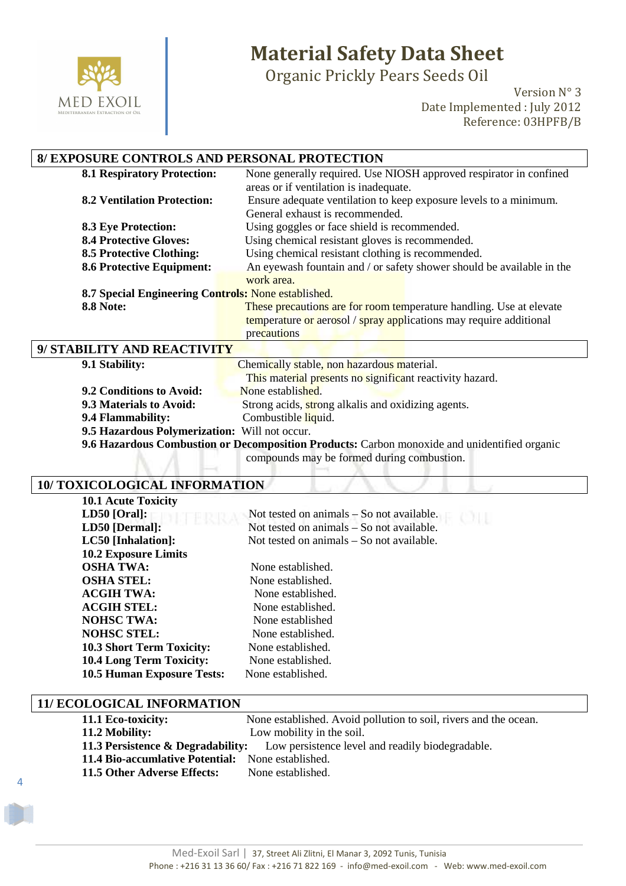

### **Material Safety Data Sheet**

Organic Prickly Pears Seeds Oil

Version N° 3 Date Implemented : July 2012 Reference: 03HPFB/B

### **8/ EXPOSURE CONTROLS AND PERSONAL PROTECTION**

| <b>8.1 Respiratory Protection:</b>                  | None generally required. Use NIOSH approved respirator in confined    |  |
|-----------------------------------------------------|-----------------------------------------------------------------------|--|
|                                                     | areas or if ventilation is inadequate.                                |  |
| <b>8.2 Ventilation Protection:</b>                  | Ensure adequate ventilation to keep exposure levels to a minimum.     |  |
|                                                     | General exhaust is recommended.                                       |  |
| <b>8.3 Eye Protection:</b>                          | Using goggles or face shield is recommended.                          |  |
| <b>8.4 Protective Gloves:</b>                       | Using chemical resistant gloves is recommended.                       |  |
| <b>8.5 Protective Clothing:</b>                     | Using chemical resistant clothing is recommended.                     |  |
| <b>8.6 Protective Equipment:</b>                    | An eyewash fountain and / or safety shower should be available in the |  |
|                                                     | work area.                                                            |  |
| 8.7 Special Engineering Controls: None established. |                                                                       |  |
| <b>8.8 Note:</b>                                    | These precautions are for room temperature handling. Use at elevate   |  |
|                                                     | temperature or aerosol / spray applications may require additional    |  |
|                                                     | precautions                                                           |  |
| 9/ STABILITY AND REACTIVITY                         |                                                                       |  |

| 9.1 Stability:                                | Chemically stable, non hazardous material.                                                   |
|-----------------------------------------------|----------------------------------------------------------------------------------------------|
|                                               | This material presents no significant reactivity hazard.                                     |
| 9.2 Conditions to Avoid:                      | None established.                                                                            |
| 9.3 Materials to Avoid:                       | Strong acids, strong alkalis and oxidizing agents.                                           |
| 9.4 Flammability:                             | Combustible liquid.                                                                          |
| 9.5 Hazardous Polymerization: Will not occur. |                                                                                              |
|                                               | 9.6 Hazardous Combustion or Decomposition Products: Carbon monoxide and unidentified organic |

compounds may be formed during combustion.

#### **10/ TOXICOLOGICAL INFORMATION**

| <b>10.1 Acute Toxicity</b>        |                                             |
|-----------------------------------|---------------------------------------------|
| $LD50$ [Oral]:                    | Not tested on animals $-$ So not available. |
| LD50 [Dermal]:                    | Not tested on animals – So not available.   |
| LC50 [Inhalation]:                | Not tested on animals – So not available.   |
| <b>10.2 Exposure Limits</b>       |                                             |
| <b>OSHA TWA:</b>                  | None established.                           |
| <b>OSHA STEL:</b>                 | None established.                           |
| <b>ACGIH TWA:</b>                 | None established.                           |
| <b>ACGIH STEL:</b>                | None established.                           |
| <b>NOHSC TWA:</b>                 | None established                            |
| <b>NOHSC STEL:</b>                | None established.                           |
| <b>10.3 Short Term Toxicity:</b>  | None established.                           |
| <b>10.4 Long Term Toxicity:</b>   | None established.                           |
| <b>10.5 Human Exposure Tests:</b> | None established.                           |

#### **11/ ECOLOGICAL INFORMATION**

4

| 11.1 Eco-toxicity:                                                                            | None established. Avoid pollution to soil, rivers and the ocean. |
|-----------------------------------------------------------------------------------------------|------------------------------------------------------------------|
| 11.2 Mobility:                                                                                | Low mobility in the soil.                                        |
| <b>11.3 Persistence &amp; Degradability:</b> Low persistence level and readily biodegradable. |                                                                  |
| <b>11.4 Bio-accumlative Potential:</b> None established.                                      |                                                                  |
| 11.5 Other Adverse Effects:                                                                   | None established.                                                |
|                                                                                               |                                                                  |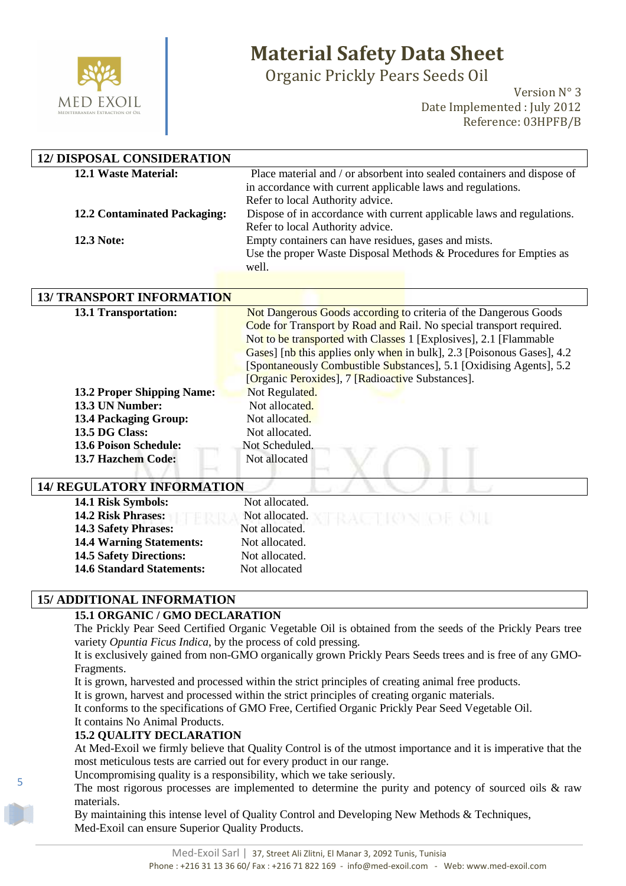

# **Material Safety Data Sheet**

Organic Prickly Pears Seeds Oil

Version N° 3 Date Implemented : July 2012 Reference: 03HPFB/B

| <b>12/ DISPOSAL CONSIDERATION</b>   |                                                                                                            |
|-------------------------------------|------------------------------------------------------------------------------------------------------------|
| 12.1 Waste Material:                | Place material and / or absorbent into sealed containers and dispose of                                    |
|                                     | in accordance with current applicable laws and regulations.                                                |
| <b>12.2 Contaminated Packaging:</b> | Refer to local Authority advice.<br>Dispose of in accordance with current applicable laws and regulations. |
|                                     | Refer to local Authority advice.                                                                           |
| 12.3 Note:                          | Empty containers can have residues, gases and mists.                                                       |
|                                     | Use the proper Waste Disposal Methods & Procedures for Empties as                                          |
|                                     | well.                                                                                                      |
|                                     |                                                                                                            |
| <b>13/ TRANSPORT INFORMATION</b>    |                                                                                                            |
| 13.1 Transportation:                | Not Dangerous Goods according to criteria of the Dangerous Goods                                           |
|                                     | Code for Transport by Road and Rail. No special transport required.                                        |
|                                     | Not to be transported with Classes 1 [Explosives], 2.1 [Flammable                                          |
|                                     | Gases] [nb this applies only when in bulk], 2.3 [Poisonous Gases], 4.2                                     |
|                                     | [Spontaneously Combustible Substances], 5.1 [Oxidising Agents], 5.2                                        |
|                                     | [Organic Peroxides], 7 [Radioactive Substances].                                                           |
| <b>13.2 Proper Shipping Name:</b>   | Not Regulated.                                                                                             |
| 13.3 UN Number:                     | Not allocated.                                                                                             |
| <b>13.4 Packaging Group:</b>        | Not allocated.                                                                                             |
| 13.5 DG Class:                      | Not allocated.                                                                                             |
| <b>13.6 Poison Schedule:</b>        | Not Scheduled.                                                                                             |
| 13.7 Hazchem Code:                  | Not allocated                                                                                              |
| <b>14/ REGULATORY INFORMATION</b>   |                                                                                                            |
| 14.1 Risk Symbols:                  | Not allocated.                                                                                             |
| 14.2 Risk Phrases:                  | Not allocated.                                                                                             |
| 14.3 Safety Phrases:                | Not allocated.                                                                                             |
| <b>14.4 Warning Statements:</b>     | Not allocated.                                                                                             |

#### **15/ ADDITIONAL INFORMATION**

#### **15.1 ORGANIC / GMO DECLARATION**

**14.5 Safety Directions:** Not allocated. **14.6 Standard Statements:** Not allocated

The Prickly Pear Seed Certified Organic Vegetable Oil is obtained from the seeds of the Prickly Pears tree variety *Opuntia Ficus Indica*, by the process of cold pressing.

It is exclusively gained from non-GMO organically grown Prickly Pears Seeds trees and is free of any GMO-Fragments.

It is grown, harvested and processed within the strict principles of creating animal free products.

It is grown, harvest and processed within the strict principles of creating organic materials.

It conforms to the specifications of GMO Free, Certified Organic Prickly Pear Seed Vegetable Oil.

It contains No Animal Products.

5

#### **15.2 QUALITY DECLARATION**

At Med-Exoil we firmly believe that Quality Control is of the utmost importance and it is imperative that the most meticulous tests are carried out for every product in our range.

Uncompromising quality is a responsibility, which we take seriously.

The most rigorous processes are implemented to determine the purity and potency of sourced oils & raw materials.

By maintaining this intense level of Quality Control and Developing New Methods & Techniques, Med-Exoil can ensure Superior Quality Products.